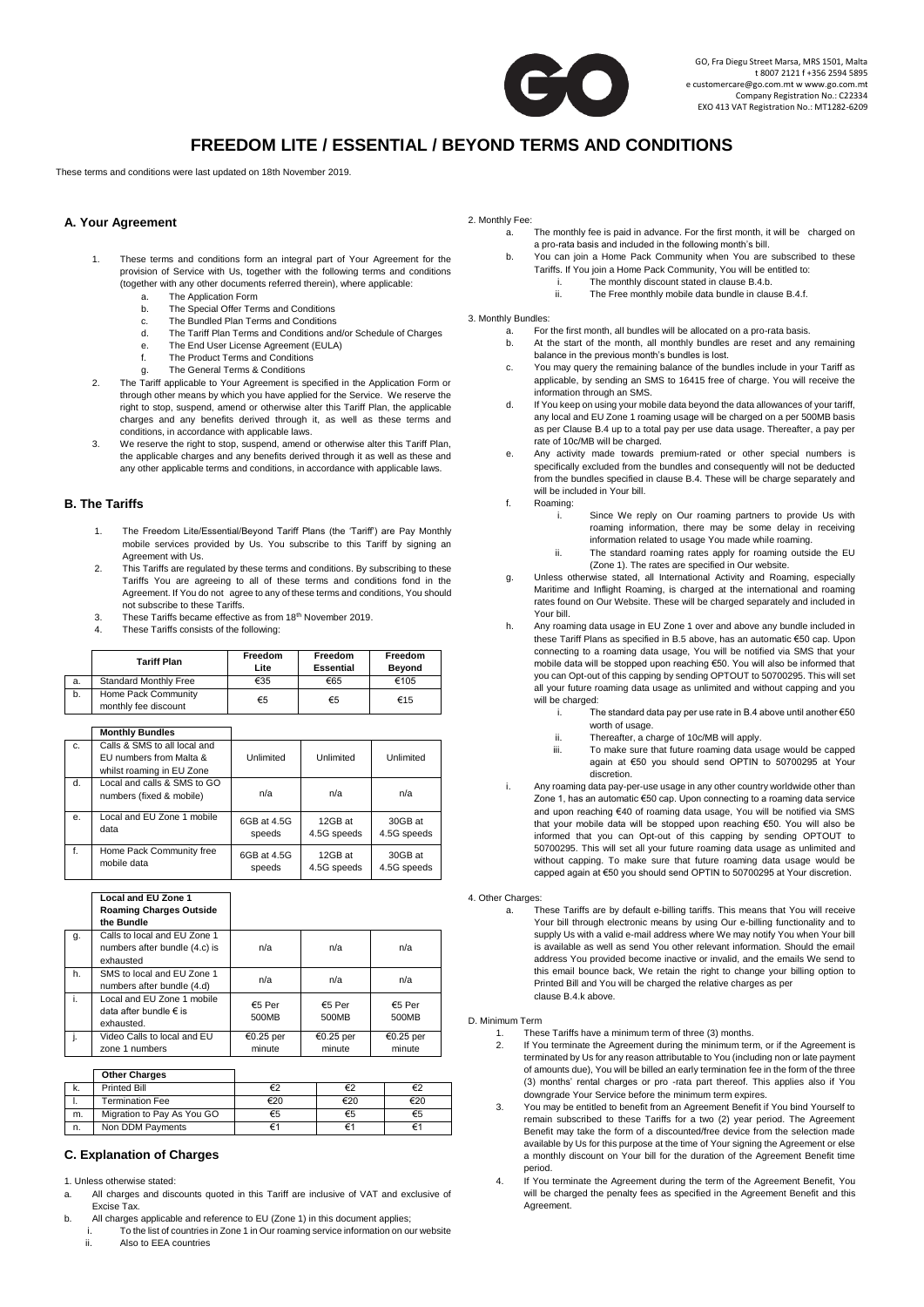

# **FREEDOM LITE / ESSENTIAL / BEYOND TERMS AND CONDITIONS**

These terms and conditions were last updated on 18th November 2019.

## **A. Your Agreement**

- 1. These terms and conditions form an integral part of Your Agreement for the provision of Service with Us, together with the following terms and conditions (together with any other documents referred therein), where applicable:
	- a. The Application Form
	- b. The Special Offer Terms and Conditions
	- c. The Bundled Plan Terms and Conditions<br>d. The Tariff Plan Terms and Conditions and
	- The Tariff Plan Terms and Conditions and/or Schedule of Charges
	- e. The End User License Agreement (EULA)
	- f. The Product Terms and Conditions
	- g. The General Terms & Conditions
- 2. The Tariff applicable to Your Agreement is specified in the Application Form or through other means by which you have applied for the Service. We reserve the right to stop, suspend, amend or otherwise alter this Tariff Plan, the applicable charges and any benefits derived through it, as well as these terms and conditions, in accordance with applicable laws.
- 3. We reserve the right to stop, suspend, amend or otherwise alter this Tariff Plan, the applicable charges and any benefits derived through it as well as these and any other applicable terms and conditions, in accordance with applicable laws.

# **B. The Tariffs**

- The Freedom Lite/Essential/Beyond Tariff Plans (the 'Tariff') are Pay Monthly mobile services provided by Us. You subscribe to this Tariff by signing an Agreement with Us.
- 2. This Tariffs are regulated by these terms and conditions. By subscribing to these Tariffs You are agreeing to all of these terms and conditions fond in the Agreement. If You do not agree to any of these terms and conditions, You should not subscribe to these Tariffs.
- 3. These Tariffs became effective as from 18<sup>th</sup> November 2019.
- 4. These Tariffs consists of the following:

|    | <b>Tariff Plan</b>                          | Freedom<br>Lite | Freedom<br><b>Essential</b> | Freedom<br><b>Beyond</b> |
|----|---------------------------------------------|-----------------|-----------------------------|--------------------------|
| a. | <b>Standard Monthly Free</b>                | €35             | €65                         | €105                     |
| b. | Home Pack Community<br>monthly fee discount | €5              | €5                          | €15                      |

|                | <b>Monthly Bundles</b>                                                               |                       |                        |                        |
|----------------|--------------------------------------------------------------------------------------|-----------------------|------------------------|------------------------|
| C <sub>1</sub> | Calls & SMS to all local and<br>EU numbers from Malta &<br>whilst roaming in EU Zone | Unlimited             | Unlimited              | Unlimited              |
| $d$ .          | Local and calls & SMS to GO<br>numbers (fixed & mobile)                              | n/a                   | n/a                    | n/a                    |
| e <sub>1</sub> | Local and EU Zone 1 mobile<br>data                                                   | 6GB at 4.5G<br>speeds | 12GB at<br>4.5G speeds | 30GB at<br>4.5G speeds |
| f.             | Home Pack Community free<br>mobile data                                              | 6GB at 4.5G<br>speeds | 12GB at<br>4.5G speeds | 30GB at<br>4.5G speeds |

|    | <b>Local and EU Zone 1</b><br><b>Roaming Charges Outside</b><br>the Bundle |                     |                     |                     |
|----|----------------------------------------------------------------------------|---------------------|---------------------|---------------------|
| g. | Calls to local and EU Zone 1<br>numbers after bundle (4.c) is<br>exhausted | n/a                 | n/a                 | n/a                 |
| h. | SMS to local and EU Zone 1<br>numbers after bundle (4.d)                   | n/a                 | n/a                 | n/a                 |
| i. | Local and EU Zone 1 mobile<br>data after bundle € is<br>exhausted.         | €5 Per<br>500MB     | €5 Per<br>500MB     | €5 Per<br>500MB     |
|    | Video Calls to local and EU<br>zone 1 numbers                              | €0.25 per<br>minute | €0.25 per<br>minute | €0.25 per<br>minute |

|    | <b>Other Charges</b>       |     |     |     |
|----|----------------------------|-----|-----|-----|
| к. | <b>Printed Bill</b>        |     |     | €2  |
|    | <b>Termination Fee</b>     | €20 | €20 | €20 |
| m. | Migration to Pay As You GO | €5  | €5  | €5  |
| n. | Non DDM Payments           | €   |     |     |

## **C. Explanation of Charges**

#### 1. Unless otherwise stated:

- a. All charges and discounts quoted in this Tariff are inclusive of VAT and exclusive of Excise Tax.
- b. All charges applicable and reference to EU (Zone 1) in this document applies;
	- i. To the list of countries in Zone 1 in Our roaming service information on our website ii. Also to EEA countries

#### 2. Monthly Fee:

- a. The monthly fee is paid in advance. For the first month, it will be charged on a pro-rata basis and included in the following month's bill.
	- You can join a Home Pack Community when You are subscribed to these Tariffs. If You join a Home Pack Community, You will be entitled to:
		- i. The monthly discount stated in clause B.4.b.
		- ii. The Free monthly mobile data bundle in clause B.4.f.

#### 3. Monthly Bundles:

- a. For the first month, all bundles will be allocated on a pro-rata basis.
- b. At the start of the month, all monthly bundles are reset and any remaining
- balance in the previous month's bundles is lost. c. You may query the remaining balance of the bundles include in your Tariff as applicable, by sending an SMS to 16415 free of charge. You will receive the information through an SMS.
- If You keep on using your mobile data beyond the data allowances of your tariff, any local and EU Zone 1 roaming usage will be charged on a per 500MB basis as per Clause B.4 up to a total pay per use data usage. Thereafter, a pay per rate of 10c/MB will be charged.
- e. Any activity made towards premium-rated or other special numbers is specifically excluded from the bundles and consequently will not be deducted from the bundles specified in clause B.4. These will be charge separately and will be included in Your bill.
- f. Roaming:
	- i. Since We reply on Our roaming partners to provide Us with roaming information, there may be some delay in receiving information related to usage You made while roaming.
	- ii. The standard roaming rates apply for roaming outside the EU (Zone 1). The rates are specified in Our website.
- g. Unless otherwise stated, all International Activity and Roaming, especially Maritime and Inflight Roaming, is charged at the international and roaming rates found on Our Website. These will be charged separately and included in Your bill.
- h. Any roaming data usage in EU Zone 1 over and above any bundle included in these Tariff Plans as specified in B.5 above, has an automatic €50 cap. Upon connecting to a roaming data usage, You will be notified via SMS that your mobile data will be stopped upon reaching €50. You will also be informed that you can Opt-out of this capping by sending OPTOUT to 50700295. This will set all your future roaming data usage as unlimited and without capping and you will be charged:
	- i. The standard data pay per use rate in B.4 above until another €50 worth of usage.
	- ii. Thereafter, a charge of 10c/MB will apply.<br>iii. To make sure that future roaming data us
	- To make sure that future roaming data usage would be capped again at €50 you should send OPTIN to 50700295 at Your discretion.
- i. Any roaming data pay-per-use usage in any other country worldwide other than Zone 1, has an automatic €50 cap. Upon connecting to a roaming data service and upon reaching €40 of roaming data usage, You will be notified via SMS that your mobile data will be stopped upon reaching €50. You will also be informed that you can Opt-out of this capping by sending OPTOUT to 50700295. This will set all your future roaming data usage as unlimited and without capping. To make sure that future roaming data usage would be capped again at €50 you should send OPTIN to 50700295 at Your discretion.

4. Other Charges:

These Tariffs are by default e-billing tariffs. This means that You will receive Your bill through electronic means by using Our e-billing functionality and to supply Us with a valid e-mail address where We may notify You when Your bill is available as well as send You other relevant information. Should the email address You provided become inactive or invalid, and the emails We send to this email bounce back, We retain the right to change your billing option to Printed Bill and You will be charged the relative charges as per clause B.4.k above.

#### D. Minimum Term

- 1. These Tariffs have a minimum term of three (3) months.<br>2. If You terminate the Agreement during the minimum terr
	- If You terminate the Agreement during the minimum term, or if the Agreement is terminated by Us for any reason attributable to You (including non or late payment of amounts due), You will be billed an early termination fee in the form of the three (3) months' rental charges or pro -rata part thereof. This applies also if You downgrade Your Service before the minimum term expires.
- You may be entitled to benefit from an Agreement Benefit if You bind Yourself to remain subscribed to these Tariffs for a two (2) year period. The Agreement Benefit may take the form of a discounted/free device from the selection made available by Us for this purpose at the time of Your signing the Agreement or else a monthly discount on Your bill for the duration of the Agreement Benefit time period.
- .<br>If You terminate the Agreement during the term of the Agreement Benefit, You will be charged the penalty fees as specified in the Agreement Benefit and this Agreement.